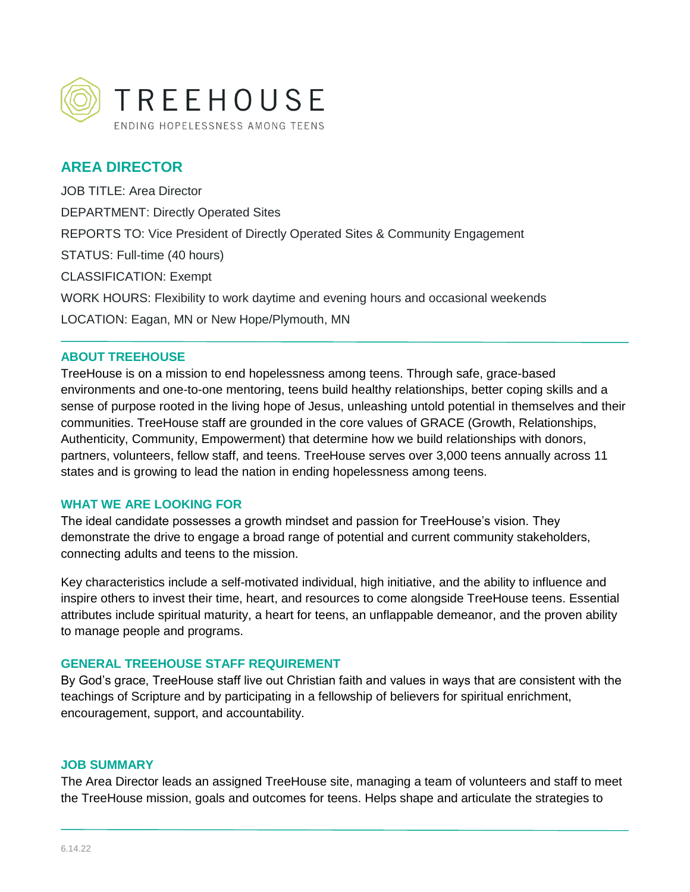

# **AREA DIRECTOR**

JOB TITLE: Area Director DEPARTMENT: Directly Operated Sites REPORTS TO: Vice President of Directly Operated Sites & Community Engagement STATUS: Full-time (40 hours) CLASSIFICATION: Exempt WORK HOURS: Flexibility to work daytime and evening hours and occasional weekends LOCATION: Eagan, MN or New Hope/Plymouth, MN

#### **ABOUT TREEHOUSE**

TreeHouse is on a mission to end hopelessness among teens. Through safe, grace-based environments and one-to-one mentoring, teens build healthy relationships, better coping skills and a sense of purpose rooted in the living hope of Jesus, unleashing untold potential in themselves and their communities. TreeHouse staff are grounded in the core values of GRACE (Growth, Relationships, Authenticity, Community, Empowerment) that determine how we build relationships with donors, partners, volunteers, fellow staff, and teens. TreeHouse serves over 3,000 teens annually across 11 states and is growing to lead the nation in ending hopelessness among teens.

#### **WHAT WE ARE LOOKING FOR**

The ideal candidate possesses a growth mindset and passion for TreeHouse's vision. They demonstrate the drive to engage a broad range of potential and current community stakeholders, connecting adults and teens to the mission.

Key characteristics include a self-motivated individual, high initiative, and the ability to influence and inspire others to invest their time, heart, and resources to come alongside TreeHouse teens. Essential attributes include spiritual maturity, a heart for teens, an unflappable demeanor, and the proven ability to manage people and programs.

### **GENERAL TREEHOUSE STAFF REQUIREMENT**

By God's grace, TreeHouse staff live out Christian faith and values in ways that are consistent with the teachings of Scripture and by participating in a fellowship of believers for spiritual enrichment, encouragement, support, and accountability.

#### **JOB SUMMARY**

The Area Director leads an assigned TreeHouse site, managing a team of volunteers and staff to meet the TreeHouse mission, goals and outcomes for teens. Helps shape and articulate the strategies to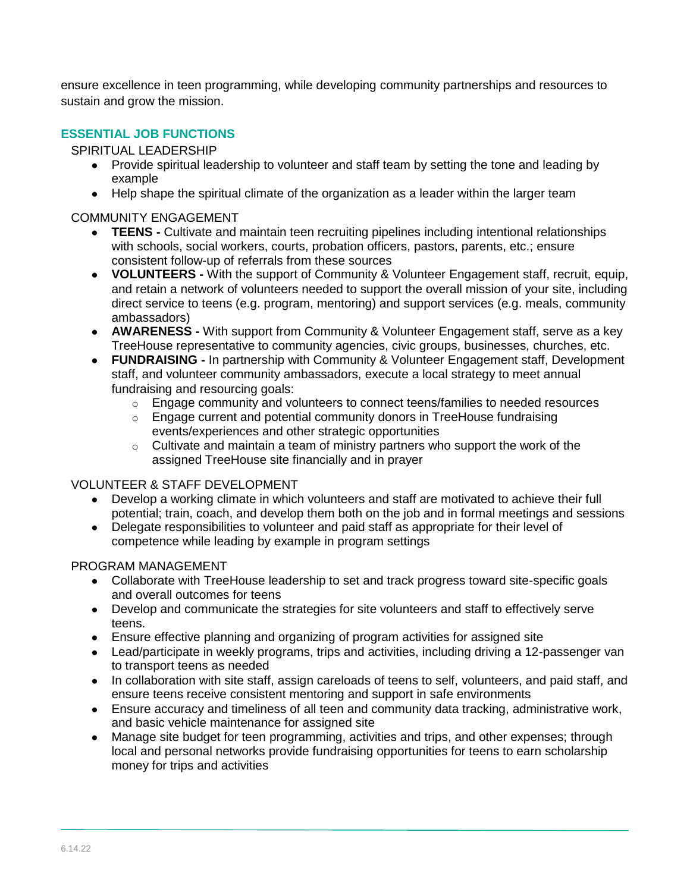ensure excellence in teen programming, while developing community partnerships and resources to sustain and grow the mission.

## **ESSENTIAL JOB FUNCTIONS**

### SPIRITUAL LEADERSHIP

- Provide spiritual leadership to volunteer and staff team by setting the tone and leading by example
- Help shape the spiritual climate of the organization as a leader within the larger team

### COMMUNITY ENGAGEMENT

- **TEENS -** Cultivate and maintain teen recruiting pipelines including intentional relationships with schools, social workers, courts, probation officers, pastors, parents, etc.; ensure consistent follow-up of referrals from these sources
- **VOLUNTEERS -** With the support of Community & Volunteer Engagement staff, recruit, equip, and retain a network of volunteers needed to support the overall mission of your site, including direct service to teens (e.g. program, mentoring) and support services (e.g. meals, community ambassadors)
- **AWARENESS -** With support from Community & Volunteer Engagement staff, serve as a key TreeHouse representative to community agencies, civic groups, businesses, churches, etc.
- **FUNDRAISING -** In partnership with Community & Volunteer Engagement staff, Development staff, and volunteer community ambassadors, execute a local strategy to meet annual fundraising and resourcing goals:
	- o Engage community and volunteers to connect teens/families to needed resources
	- $\circ$  Engage current and potential community donors in TreeHouse fundraising events/experiences and other strategic opportunities
	- o Cultivate and maintain a team of ministry partners who support the work of the assigned TreeHouse site financially and in prayer

## VOLUNTEER & STAFF DEVELOPMENT

- Develop a working climate in which volunteers and staff are motivated to achieve their full potential; train, coach, and develop them both on the job and in formal meetings and sessions
- Delegate responsibilities to volunteer and paid staff as appropriate for their level of competence while leading by example in program settings

### PROGRAM MANAGEMENT

- Collaborate with TreeHouse leadership to set and track progress toward site-specific goals and overall outcomes for teens
- Develop and communicate the strategies for site volunteers and staff to effectively serve teens.
- Ensure effective planning and organizing of program activities for assigned site
- Lead/participate in weekly programs, trips and activities, including driving a 12-passenger van to transport teens as needed
- In collaboration with site staff, assign careloads of teens to self, volunteers, and paid staff, and ensure teens receive consistent mentoring and support in safe environments
- Ensure accuracy and timeliness of all teen and community data tracking, administrative work, and basic vehicle maintenance for assigned site
- Manage site budget for teen programming, activities and trips, and other expenses; through local and personal networks provide fundraising opportunities for teens to earn scholarship money for trips and activities